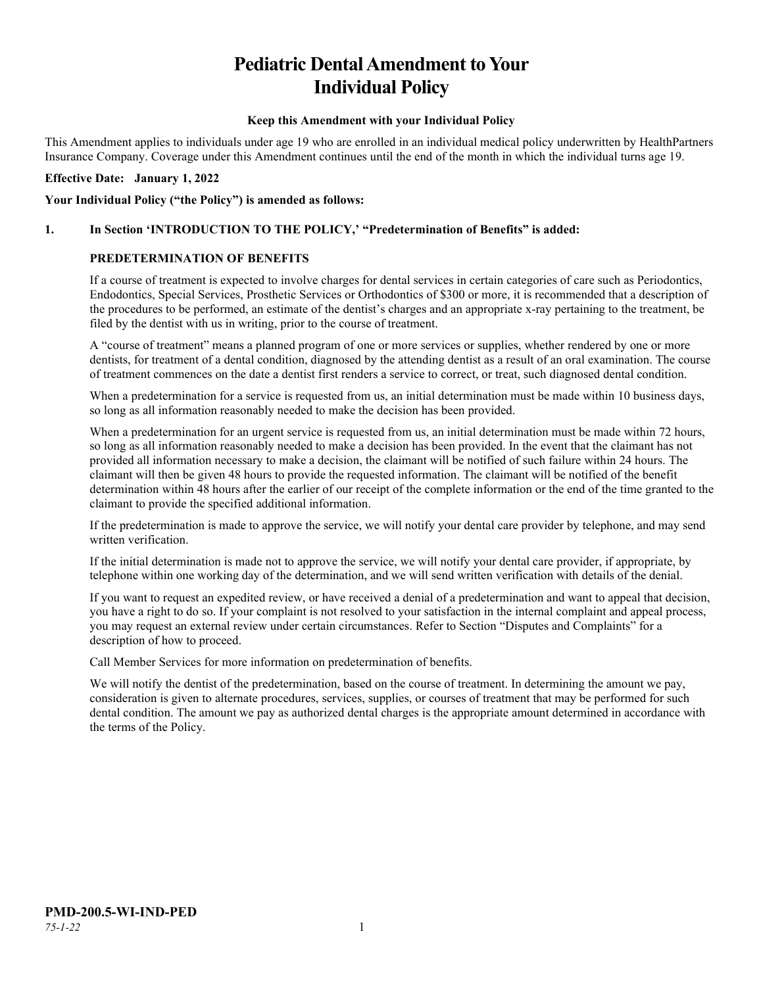# **Pediatric Dental Amendment to Your Individual Policy**

#### **Keep this Amendment with your Individual Policy**

This Amendment applies to individuals under age 19 who are enrolled in an individual medical policy underwritten by HealthPartners Insurance Company. Coverage under this Amendment continues until the end of the month in which the individual turns age 19.

#### **Effective Date: January 1, 2022**

#### **Your Individual Policy ("the Policy") is amended as follows:**

## **1. In Section 'INTRODUCTION TO THE POLICY,' "Predetermination of Benefits" is added:**

#### **PREDETERMINATION OF BENEFITS**

If a course of treatment is expected to involve charges for dental services in certain categories of care such as Periodontics, Endodontics, Special Services, Prosthetic Services or Orthodontics of \$300 or more, it is recommended that a description of the procedures to be performed, an estimate of the dentist's charges and an appropriate x-ray pertaining to the treatment, be filed by the dentist with us in writing, prior to the course of treatment.

A "course of treatment" means a planned program of one or more services or supplies, whether rendered by one or more dentists, for treatment of a dental condition, diagnosed by the attending dentist as a result of an oral examination. The course of treatment commences on the date a dentist first renders a service to correct, or treat, such diagnosed dental condition.

When a predetermination for a service is requested from us, an initial determination must be made within 10 business days, so long as all information reasonably needed to make the decision has been provided.

When a predetermination for an urgent service is requested from us, an initial determination must be made within 72 hours, so long as all information reasonably needed to make a decision has been provided. In the event that the claimant has not provided all information necessary to make a decision, the claimant will be notified of such failure within 24 hours. The claimant will then be given 48 hours to provide the requested information. The claimant will be notified of the benefit determination within 48 hours after the earlier of our receipt of the complete information or the end of the time granted to the claimant to provide the specified additional information.

If the predetermination is made to approve the service, we will notify your dental care provider by telephone, and may send written verification.

If the initial determination is made not to approve the service, we will notify your dental care provider, if appropriate, by telephone within one working day of the determination, and we will send written verification with details of the denial.

If you want to request an expedited review, or have received a denial of a predetermination and want to appeal that decision, you have a right to do so. If your complaint is not resolved to your satisfaction in the internal complaint and appeal process, you may request an external review under certain circumstances. Refer to Section "Disputes and Complaints" for a description of how to proceed.

Call Member Services for more information on predetermination of benefits.

We will notify the dentist of the predetermination, based on the course of treatment. In determining the amount we pay, consideration is given to alternate procedures, services, supplies, or courses of treatment that may be performed for such dental condition. The amount we pay as authorized dental charges is the appropriate amount determined in accordance with the terms of the Policy.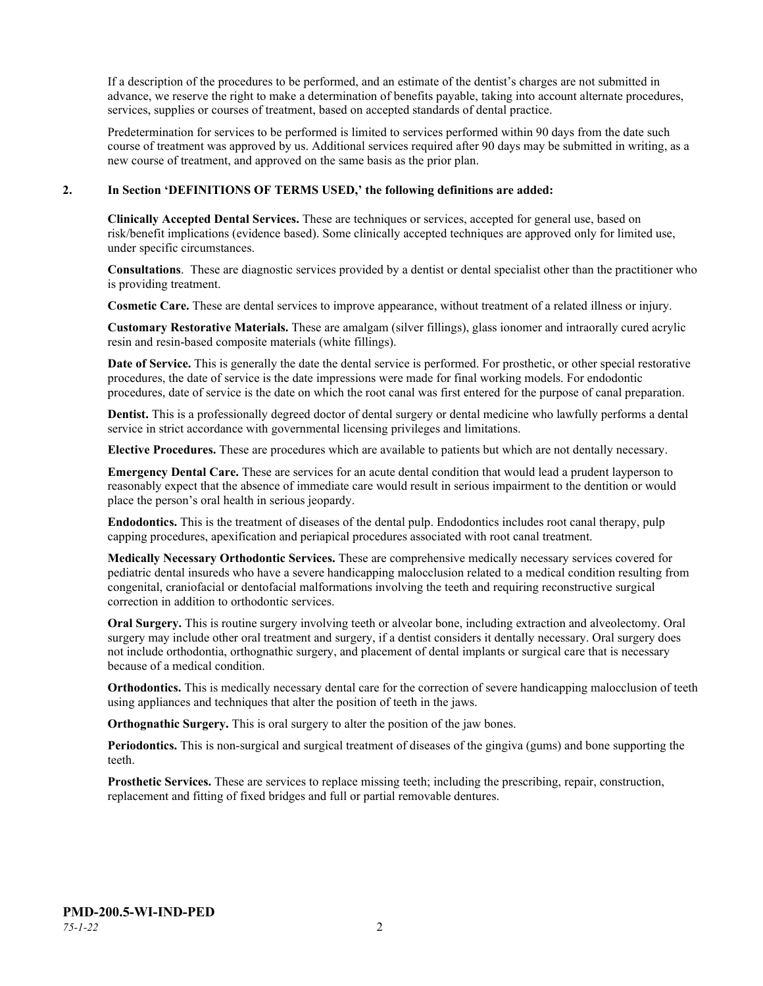If a description of the procedures to be performed, and an estimate of the dentist's charges are not submitted in advance, we reserve the right to make a determination of benefits payable, taking into account alternate procedures, services, supplies or courses of treatment, based on accepted standards of dental practice.

Predetermination for services to be performed is limited to services performed within 90 days from the date such course of treatment was approved by us. Additional services required after 90 days may be submitted in writing, as a new course of treatment, and approved on the same basis as the prior plan.

#### **2. In Section 'DEFINITIONS OF TERMS USED,' the following definitions are added:**

**Clinically Accepted Dental Services.** These are techniques or services, accepted for general use, based on risk/benefit implications (evidence based). Some clinically accepted techniques are approved only for limited use, under specific circumstances.

**Consultations**. These are diagnostic services provided by a dentist or dental specialist other than the practitioner who is providing treatment.

**Cosmetic Care.** These are dental services to improve appearance, without treatment of a related illness or injury.

**Customary Restorative Materials.** These are amalgam (silver fillings), glass ionomer and intraorally cured acrylic resin and resin-based composite materials (white fillings).

**Date of Service.** This is generally the date the dental service is performed. For prosthetic, or other special restorative procedures, the date of service is the date impressions were made for final working models. For endodontic procedures, date of service is the date on which the root canal was first entered for the purpose of canal preparation.

**Dentist.** This is a professionally degreed doctor of dental surgery or dental medicine who lawfully performs a dental service in strict accordance with governmental licensing privileges and limitations.

**Elective Procedures.** These are procedures which are available to patients but which are not dentally necessary.

**Emergency Dental Care.** These are services for an acute dental condition that would lead a prudent layperson to reasonably expect that the absence of immediate care would result in serious impairment to the dentition or would place the person's oral health in serious jeopardy.

**Endodontics.** This is the treatment of diseases of the dental pulp. Endodontics includes root canal therapy, pulp capping procedures, apexification and periapical procedures associated with root canal treatment.

**Medically Necessary Orthodontic Services.** These are comprehensive medically necessary services covered for pediatric dental insureds who have a severe handicapping malocclusion related to a medical condition resulting from congenital, craniofacial or dentofacial malformations involving the teeth and requiring reconstructive surgical correction in addition to orthodontic services.

**Oral Surgery.** This is routine surgery involving teeth or alveolar bone, including extraction and alveolectomy. Oral surgery may include other oral treatment and surgery, if a dentist considers it dentally necessary. Oral surgery does not include orthodontia, orthognathic surgery, and placement of dental implants or surgical care that is necessary because of a medical condition.

**Orthodontics.** This is medically necessary dental care for the correction of severe handicapping malocclusion of teeth using appliances and techniques that alter the position of teeth in the jaws.

**Orthognathic Surgery.** This is oral surgery to alter the position of the jaw bones.

**Periodontics.** This is non-surgical and surgical treatment of diseases of the gingiva (gums) and bone supporting the teeth.

**Prosthetic Services.** These are services to replace missing teeth; including the prescribing, repair, construction, replacement and fitting of fixed bridges and full or partial removable dentures.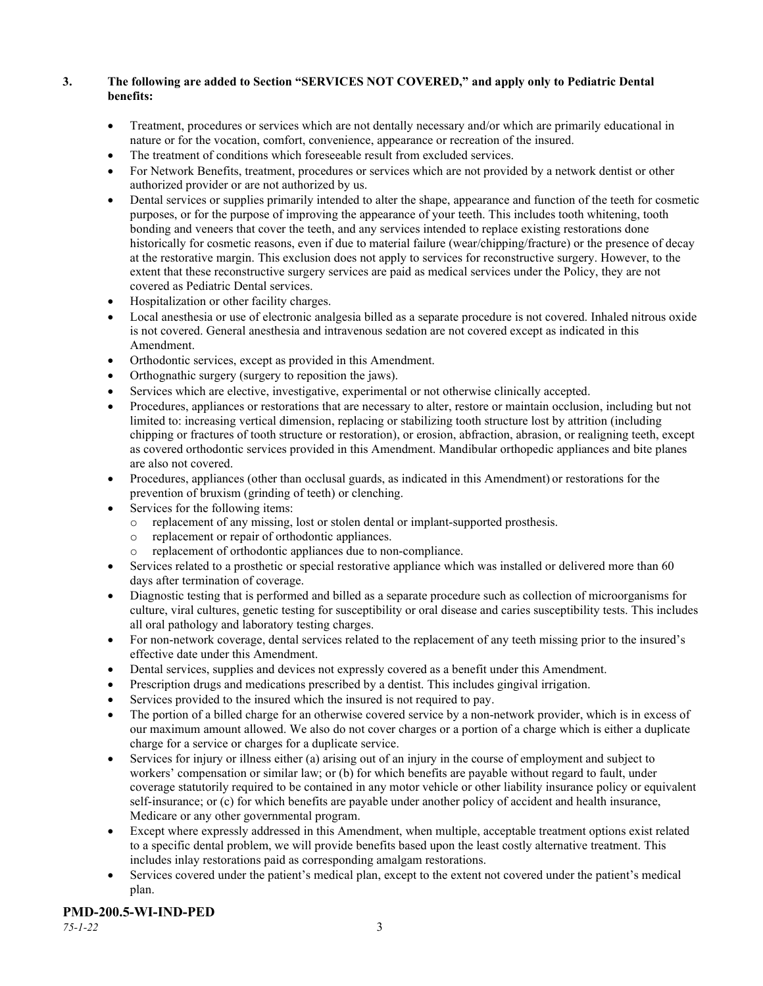# **3. The following are added to Section "SERVICES NOT COVERED," and apply only to Pediatric Dental benefits:**

- Treatment, procedures or services which are not dentally necessary and/or which are primarily educational in nature or for the vocation, comfort, convenience, appearance or recreation of the insured.
- The treatment of conditions which foreseeable result from excluded services.
- For Network Benefits, treatment, procedures or services which are not provided by a network dentist or other authorized provider or are not authorized by us.
- Dental services or supplies primarily intended to alter the shape, appearance and function of the teeth for cosmetic purposes, or for the purpose of improving the appearance of your teeth. This includes tooth whitening, tooth bonding and veneers that cover the teeth, and any services intended to replace existing restorations done historically for cosmetic reasons, even if due to material failure (wear/chipping/fracture) or the presence of decay at the restorative margin. This exclusion does not apply to services for reconstructive surgery. However, to the extent that these reconstructive surgery services are paid as medical services under the Policy, they are not covered as Pediatric Dental services.
- Hospitalization or other facility charges.
- Local anesthesia or use of electronic analgesia billed as a separate procedure is not covered. Inhaled nitrous oxide is not covered. General anesthesia and intravenous sedation are not covered except as indicated in this Amendment.
- Orthodontic services, except as provided in this Amendment.
- Orthognathic surgery (surgery to reposition the jaws).
- Services which are elective, investigative, experimental or not otherwise clinically accepted.
- Procedures, appliances or restorations that are necessary to alter, restore or maintain occlusion, including but not limited to: increasing vertical dimension, replacing or stabilizing tooth structure lost by attrition (including chipping or fractures of tooth structure or restoration), or erosion, abfraction, abrasion, or realigning teeth, except as covered orthodontic services provided in this Amendment. Mandibular orthopedic appliances and bite planes are also not covered.
- Procedures, appliances (other than occlusal guards, as indicated in this Amendment) or restorations for the prevention of bruxism (grinding of teeth) or clenching.
- Services for the following items:
	- o replacement of any missing, lost or stolen dental or implant-supported prosthesis.
	- replacement or repair of orthodontic appliances.
	- replacement of orthodontic appliances due to non-compliance.
- Services related to a prosthetic or special restorative appliance which was installed or delivered more than 60 days after termination of coverage.
- Diagnostic testing that is performed and billed as a separate procedure such as collection of microorganisms for culture, viral cultures, genetic testing for susceptibility or oral disease and caries susceptibility tests. This includes all oral pathology and laboratory testing charges.
- For non-network coverage, dental services related to the replacement of any teeth missing prior to the insured's effective date under this Amendment.
- Dental services, supplies and devices not expressly covered as a benefit under this Amendment.
- Prescription drugs and medications prescribed by a dentist. This includes gingival irrigation.
- Services provided to the insured which the insured is not required to pay.
- The portion of a billed charge for an otherwise covered service by a non-network provider, which is in excess of our maximum amount allowed. We also do not cover charges or a portion of a charge which is either a duplicate charge for a service or charges for a duplicate service.
- Services for injury or illness either (a) arising out of an injury in the course of employment and subject to workers' compensation or similar law; or (b) for which benefits are payable without regard to fault, under coverage statutorily required to be contained in any motor vehicle or other liability insurance policy or equivalent self-insurance; or (c) for which benefits are payable under another policy of accident and health insurance, Medicare or any other governmental program.
- Except where expressly addressed in this Amendment, when multiple, acceptable treatment options exist related to a specific dental problem, we will provide benefits based upon the least costly alternative treatment. This includes inlay restorations paid as corresponding amalgam restorations.
- Services covered under the patient's medical plan, except to the extent not covered under the patient's medical plan.

# **PMD-200.5-WI-IND-PED**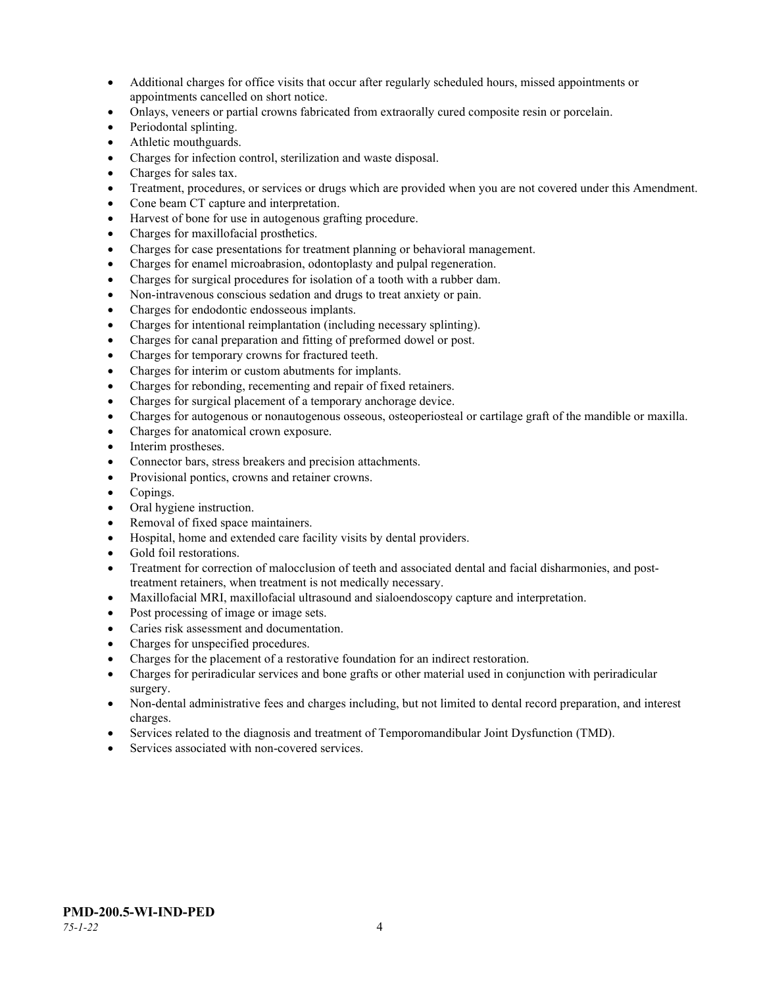- Additional charges for office visits that occur after regularly scheduled hours, missed appointments or appointments cancelled on short notice.
- Onlays, veneers or partial crowns fabricated from extraorally cured composite resin or porcelain.
- Periodontal splinting.
- Athletic mouthguards.
- Charges for infection control, sterilization and waste disposal.
- Charges for sales tax.
- Treatment, procedures, or services or drugs which are provided when you are not covered under this Amendment.
- Cone beam CT capture and interpretation.
- Harvest of bone for use in autogenous grafting procedure.
- Charges for maxillofacial prosthetics.
- Charges for case presentations for treatment planning or behavioral management.
- Charges for enamel microabrasion, odontoplasty and pulpal regeneration.
- Charges for surgical procedures for isolation of a tooth with a rubber dam.
- Non-intravenous conscious sedation and drugs to treat anxiety or pain.
- Charges for endodontic endosseous implants.
- Charges for intentional reimplantation (including necessary splinting).
- Charges for canal preparation and fitting of preformed dowel or post.
- Charges for temporary crowns for fractured teeth.
- Charges for interim or custom abutments for implants.
- Charges for rebonding, recementing and repair of fixed retainers.
- Charges for surgical placement of a temporary anchorage device.
- Charges for autogenous or nonautogenous osseous, osteoperiosteal or cartilage graft of the mandible or maxilla.
- Charges for anatomical crown exposure.
- Interim prostheses.
- Connector bars, stress breakers and precision attachments.
- Provisional pontics, crowns and retainer crowns.
- Copings.
- Oral hygiene instruction.
- Removal of fixed space maintainers.
- Hospital, home and extended care facility visits by dental providers.
- Gold foil restorations.
- Treatment for correction of malocclusion of teeth and associated dental and facial disharmonies, and posttreatment retainers, when treatment is not medically necessary.
- Maxillofacial MRI, maxillofacial ultrasound and sialoendoscopy capture and interpretation.
- Post processing of image or image sets.
- Caries risk assessment and documentation.
- Charges for unspecified procedures.
- Charges for the placement of a restorative foundation for an indirect restoration.
- Charges for periradicular services and bone grafts or other material used in conjunction with periradicular surgery.
- Non-dental administrative fees and charges including, but not limited to dental record preparation, and interest charges.
- Services related to the diagnosis and treatment of Temporomandibular Joint Dysfunction (TMD).
- Services associated with non-covered services.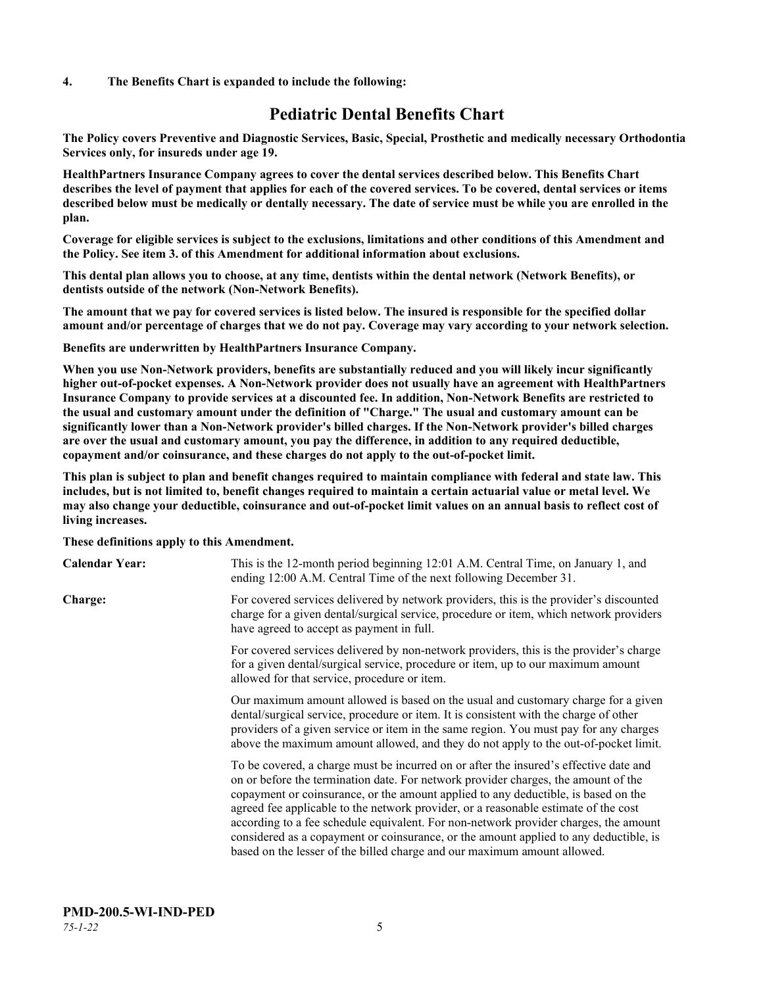#### **4. The Benefits Chart is expanded to include the following:**

# **Pediatric Dental Benefits Chart**

**The Policy covers Preventive and Diagnostic Services, Basic, Special, Prosthetic and medically necessary Orthodontia Services only, for insureds under age 19.**

**HealthPartners Insurance Company agrees to cover the dental services described below. This Benefits Chart describes the level of payment that applies for each of the covered services. To be covered, dental services or items described below must be medically or dentally necessary. The date of service must be while you are enrolled in the plan.**

**Coverage for eligible services is subject to the exclusions, limitations and other conditions of this Amendment and the Policy. See item 3. of this Amendment for additional information about exclusions.**

**This dental plan allows you to choose, at any time, dentists within the dental network (Network Benefits), or dentists outside of the network (Non-Network Benefits).**

**The amount that we pay for covered services is listed below. The insured is responsible for the specified dollar amount and/or percentage of charges that we do not pay. Coverage may vary according to your network selection.**

**Benefits are underwritten by HealthPartners Insurance Company.**

**When you use Non-Network providers, benefits are substantially reduced and you will likely incur significantly higher out-of-pocket expenses. A Non-Network provider does not usually have an agreement with HealthPartners Insurance Company to provide services at a discounted fee. In addition, Non-Network Benefits are restricted to the usual and customary amount under the definition of "Charge." The usual and customary amount can be significantly lower than a Non-Network provider's billed charges. If the Non-Network provider's billed charges are over the usual and customary amount, you pay the difference, in addition to any required deductible, copayment and/or coinsurance, and these charges do not apply to the out-of-pocket limit.**

**This plan is subject to plan and benefit changes required to maintain compliance with federal and state law. This includes, but is not limited to, benefit changes required to maintain a certain actuarial value or metal level. We may also change your deductible, coinsurance and out-of-pocket limit values on an annual basis to reflect cost of living increases.**

#### **These definitions apply to this Amendment.**

| <b>Calendar Year:</b> | This is the 12-month period beginning 12:01 A.M. Central Time, on January 1, and<br>ending 12:00 A.M. Central Time of the next following December 31.                                                                                                                                                                                                                                                                                                                                                                                                                                                                 |
|-----------------------|-----------------------------------------------------------------------------------------------------------------------------------------------------------------------------------------------------------------------------------------------------------------------------------------------------------------------------------------------------------------------------------------------------------------------------------------------------------------------------------------------------------------------------------------------------------------------------------------------------------------------|
| Charge:               | For covered services delivered by network providers, this is the provider's discounted<br>charge for a given dental/surgical service, procedure or item, which network providers<br>have agreed to accept as payment in full.                                                                                                                                                                                                                                                                                                                                                                                         |
|                       | For covered services delivered by non-network providers, this is the provider's charge<br>for a given dental/surgical service, procedure or item, up to our maximum amount<br>allowed for that service, procedure or item.                                                                                                                                                                                                                                                                                                                                                                                            |
|                       | Our maximum amount allowed is based on the usual and customary charge for a given<br>dental/surgical service, procedure or item. It is consistent with the charge of other<br>providers of a given service or item in the same region. You must pay for any charges<br>above the maximum amount allowed, and they do not apply to the out-of-pocket limit.                                                                                                                                                                                                                                                            |
|                       | To be covered, a charge must be incurred on or after the insured's effective date and<br>on or before the termination date. For network provider charges, the amount of the<br>copayment or coinsurance, or the amount applied to any deductible, is based on the<br>agreed fee applicable to the network provider, or a reasonable estimate of the cost<br>according to a fee schedule equivalent. For non-network provider charges, the amount<br>considered as a copayment or coinsurance, or the amount applied to any deductible, is<br>based on the lesser of the billed charge and our maximum amount allowed. |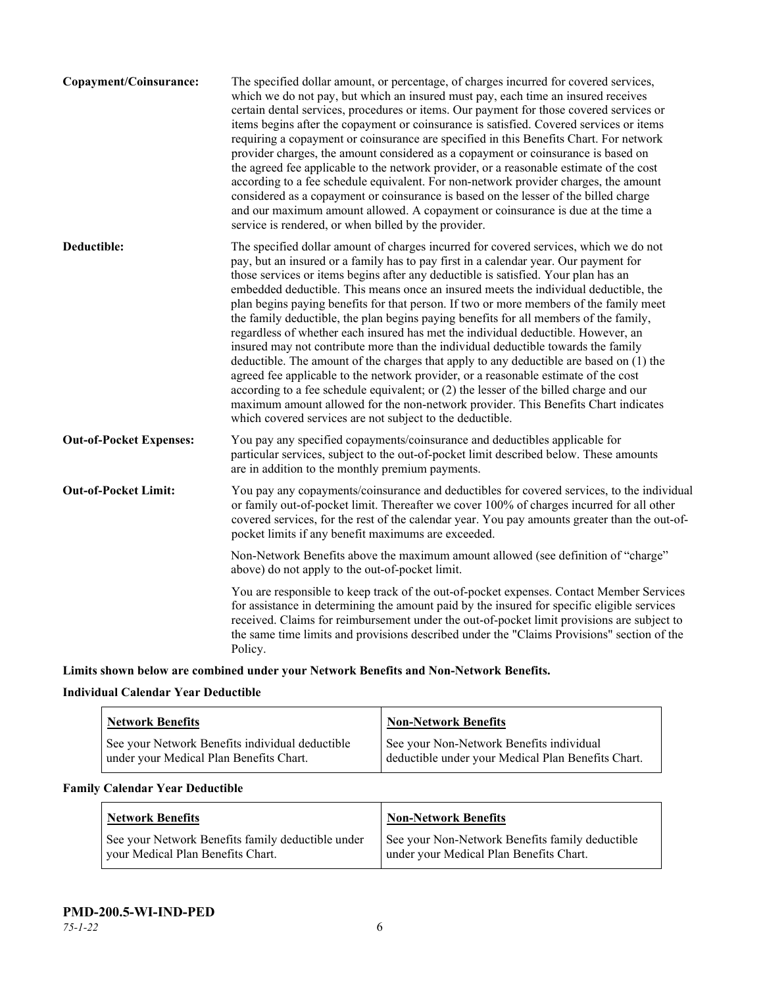| Copayment/Coinsurance:         | The specified dollar amount, or percentage, of charges incurred for covered services,<br>which we do not pay, but which an insured must pay, each time an insured receives<br>certain dental services, procedures or items. Our payment for those covered services or<br>items begins after the copayment or coinsurance is satisfied. Covered services or items<br>requiring a copayment or coinsurance are specified in this Benefits Chart. For network<br>provider charges, the amount considered as a copayment or coinsurance is based on<br>the agreed fee applicable to the network provider, or a reasonable estimate of the cost<br>according to a fee schedule equivalent. For non-network provider charges, the amount<br>considered as a copayment or coinsurance is based on the lesser of the billed charge<br>and our maximum amount allowed. A copayment or coinsurance is due at the time a<br>service is rendered, or when billed by the provider.                                                                                                                                                                                   |
|--------------------------------|---------------------------------------------------------------------------------------------------------------------------------------------------------------------------------------------------------------------------------------------------------------------------------------------------------------------------------------------------------------------------------------------------------------------------------------------------------------------------------------------------------------------------------------------------------------------------------------------------------------------------------------------------------------------------------------------------------------------------------------------------------------------------------------------------------------------------------------------------------------------------------------------------------------------------------------------------------------------------------------------------------------------------------------------------------------------------------------------------------------------------------------------------------|
| Deductible:                    | The specified dollar amount of charges incurred for covered services, which we do not<br>pay, but an insured or a family has to pay first in a calendar year. Our payment for<br>those services or items begins after any deductible is satisfied. Your plan has an<br>embedded deductible. This means once an insured meets the individual deductible, the<br>plan begins paying benefits for that person. If two or more members of the family meet<br>the family deductible, the plan begins paying benefits for all members of the family,<br>regardless of whether each insured has met the individual deductible. However, an<br>insured may not contribute more than the individual deductible towards the family<br>deductible. The amount of the charges that apply to any deductible are based on (1) the<br>agreed fee applicable to the network provider, or a reasonable estimate of the cost<br>according to a fee schedule equivalent; or (2) the lesser of the billed charge and our<br>maximum amount allowed for the non-network provider. This Benefits Chart indicates<br>which covered services are not subject to the deductible. |
| <b>Out-of-Pocket Expenses:</b> | You pay any specified copayments/coinsurance and deductibles applicable for<br>particular services, subject to the out-of-pocket limit described below. These amounts<br>are in addition to the monthly premium payments.                                                                                                                                                                                                                                                                                                                                                                                                                                                                                                                                                                                                                                                                                                                                                                                                                                                                                                                               |
| <b>Out-of-Pocket Limit:</b>    | You pay any copayments/coinsurance and deductibles for covered services, to the individual<br>or family out-of-pocket limit. Thereafter we cover 100% of charges incurred for all other<br>covered services, for the rest of the calendar year. You pay amounts greater than the out-of-<br>pocket limits if any benefit maximums are exceeded.                                                                                                                                                                                                                                                                                                                                                                                                                                                                                                                                                                                                                                                                                                                                                                                                         |
|                                | Non-Network Benefits above the maximum amount allowed (see definition of "charge"<br>above) do not apply to the out-of-pocket limit.                                                                                                                                                                                                                                                                                                                                                                                                                                                                                                                                                                                                                                                                                                                                                                                                                                                                                                                                                                                                                    |
|                                | You are responsible to keep track of the out-of-pocket expenses. Contact Member Services<br>for assistance in determining the amount paid by the insured for specific eligible services<br>received. Claims for reimbursement under the out-of-pocket limit provisions are subject to<br>the same time limits and provisions described under the "Claims Provisions" section of the<br>Policy.                                                                                                                                                                                                                                                                                                                                                                                                                                                                                                                                                                                                                                                                                                                                                          |
|                                |                                                                                                                                                                                                                                                                                                                                                                                                                                                                                                                                                                                                                                                                                                                                                                                                                                                                                                                                                                                                                                                                                                                                                         |

**Limits shown below are combined under your Network Benefits and Non-Network Benefits.**

# **Individual Calendar Year Deductible**

| <b>Network Benefits</b>                                                                    | <b>Non-Network Benefits</b>                                                                    |
|--------------------------------------------------------------------------------------------|------------------------------------------------------------------------------------------------|
| See your Network Benefits individual deductible<br>under your Medical Plan Benefits Chart. | See your Non-Network Benefits individual<br>deductible under your Medical Plan Benefits Chart. |

# **Family Calendar Year Deductible**

| Network Benefits                                  | <b>Non-Network Benefits</b>                     |
|---------------------------------------------------|-------------------------------------------------|
| See your Network Benefits family deductible under | See your Non-Network Benefits family deductible |
| vour Medical Plan Benefits Chart.                 | under your Medical Plan Benefits Chart.         |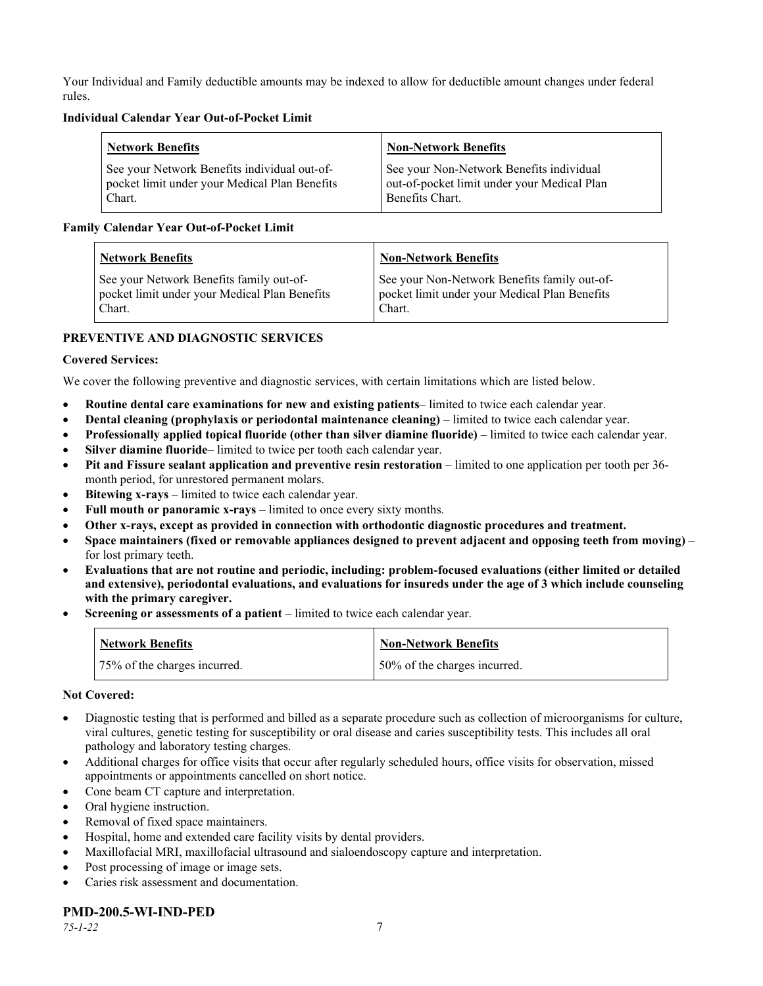Your Individual and Family deductible amounts may be indexed to allow for deductible amount changes under federal rules.

## **Individual Calendar Year Out-of-Pocket Limit**

| <b>Network Benefits</b>                       | <b>Non-Network Benefits</b>                 |
|-----------------------------------------------|---------------------------------------------|
| See your Network Benefits individual out-of-  | See your Non-Network Benefits individual    |
| pocket limit under your Medical Plan Benefits | out-of-pocket limit under your Medical Plan |
| Chart.                                        | Benefits Chart.                             |

# **Family Calendar Year Out-of-Pocket Limit**

| <b>Network Benefits</b>                       | <b>Non-Network Benefits</b>                   |
|-----------------------------------------------|-----------------------------------------------|
| See your Network Benefits family out-of-      | See your Non-Network Benefits family out-of-  |
| pocket limit under your Medical Plan Benefits | pocket limit under your Medical Plan Benefits |
| Chart.                                        | Chart.                                        |

# **PREVENTIVE AND DIAGNOSTIC SERVICES**

# **Covered Services:**

We cover the following preventive and diagnostic services, with certain limitations which are listed below.

- **Routine dental care examinations for new and existing patients** limited to twice each calendar year.
- **Dental cleaning (prophylaxis or periodontal maintenance cleaning)** limited to twice each calendar year.
- **Professionally applied topical fluoride (other than silver diamine fluoride)** limited to twice each calendar year.
- **Silver diamine fluoride** limited to twice per tooth each calendar year.
- **Pit and Fissure sealant application and preventive resin restoration** limited to one application per tooth per 36 month period, for unrestored permanent molars.
- **Bitewing x-rays** limited to twice each calendar year.
- **Full mouth or panoramic x-rays** limited to once every sixty months.
- **Other x-rays, except as provided in connection with orthodontic diagnostic procedures and treatment.**
- **Space maintainers (fixed or removable appliances designed to prevent adjacent and opposing teeth from moving)** for lost primary teeth.
- **Evaluations that are not routine and periodic, including: problem-focused evaluations (either limited or detailed and extensive), periodontal evaluations, and evaluations for insureds under the age of 3 which include counseling with the primary caregiver.**
- **Screening or assessments of a patient** limited to twice each calendar year.

| <b>Network Benefits</b>      | <b>Non-Network Benefits</b>  |
|------------------------------|------------------------------|
| 75% of the charges incurred. | 50% of the charges incurred. |

#### **Not Covered:**

- Diagnostic testing that is performed and billed as a separate procedure such as collection of microorganisms for culture, viral cultures, genetic testing for susceptibility or oral disease and caries susceptibility tests. This includes all oral pathology and laboratory testing charges.
- Additional charges for office visits that occur after regularly scheduled hours, office visits for observation, missed appointments or appointments cancelled on short notice.
- Cone beam CT capture and interpretation.
- Oral hygiene instruction.
- Removal of fixed space maintainers.
- Hospital, home and extended care facility visits by dental providers.
- Maxillofacial MRI, maxillofacial ultrasound and sialoendoscopy capture and interpretation.
- Post processing of image or image sets.
- Caries risk assessment and documentation.

# **PMD-200.5-WI-IND-PED**

*75-1-22* 7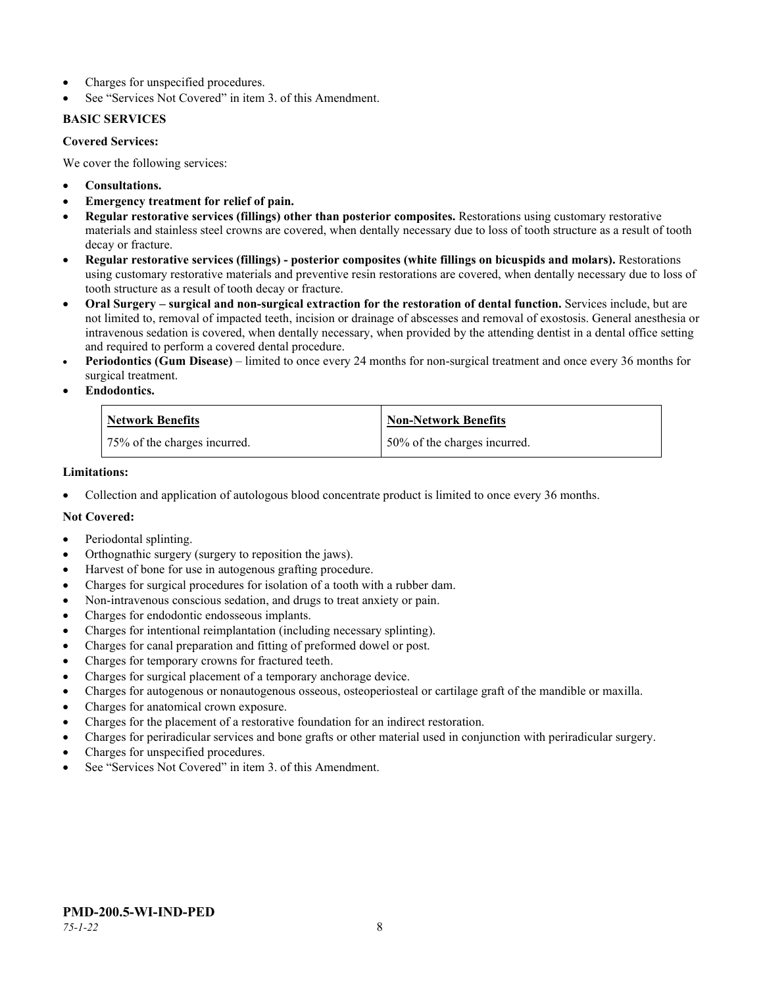- Charges for unspecified procedures.
- See "Services Not Covered" in item 3. of this Amendment.

# **BASIC SERVICES**

## **Covered Services:**

We cover the following services:

- **Consultations.**
- **Emergency treatment for relief of pain.**
- **Regular restorative services (fillings) other than posterior composites.** Restorations using customary restorative materials and stainless steel crowns are covered, when dentally necessary due to loss of tooth structure as a result of tooth decay or fracture.
- **Regular restorative services (fillings) - posterior composites (white fillings on bicuspids and molars).** Restorations using customary restorative materials and preventive resin restorations are covered, when dentally necessary due to loss of tooth structure as a result of tooth decay or fracture.
- **Oral Surgery – surgical and non-surgical extraction for the restoration of dental function.** Services include, but are not limited to, removal of impacted teeth, incision or drainage of abscesses and removal of exostosis. General anesthesia or intravenous sedation is covered, when dentally necessary, when provided by the attending dentist in a dental office setting and required to perform a covered dental procedure.
- **Periodontics (Gum Disease)** limited to once every 24 months for non-surgical treatment and once every 36 months for surgical treatment.
- **Endodontics.**

| <b>Network Benefits</b>      | <b>Non-Network Benefits</b>  |
|------------------------------|------------------------------|
| 75% of the charges incurred. | 50% of the charges incurred. |

#### **Limitations:**

• Collection and application of autologous blood concentrate product is limited to once every 36 months.

# **Not Covered:**

- Periodontal splinting.
- Orthognathic surgery (surgery to reposition the jaws).
- Harvest of bone for use in autogenous grafting procedure.
- Charges for surgical procedures for isolation of a tooth with a rubber dam.
- Non-intravenous conscious sedation, and drugs to treat anxiety or pain.
- Charges for endodontic endosseous implants.
- Charges for intentional reimplantation (including necessary splinting).
- Charges for canal preparation and fitting of preformed dowel or post.
- Charges for temporary crowns for fractured teeth.
- Charges for surgical placement of a temporary anchorage device.
- Charges for autogenous or nonautogenous osseous, osteoperiosteal or cartilage graft of the mandible or maxilla.
- Charges for anatomical crown exposure.
- Charges for the placement of a restorative foundation for an indirect restoration.
- Charges for periradicular services and bone grafts or other material used in conjunction with periradicular surgery.
- Charges for unspecified procedures.
- See "Services Not Covered" in item 3. of this Amendment.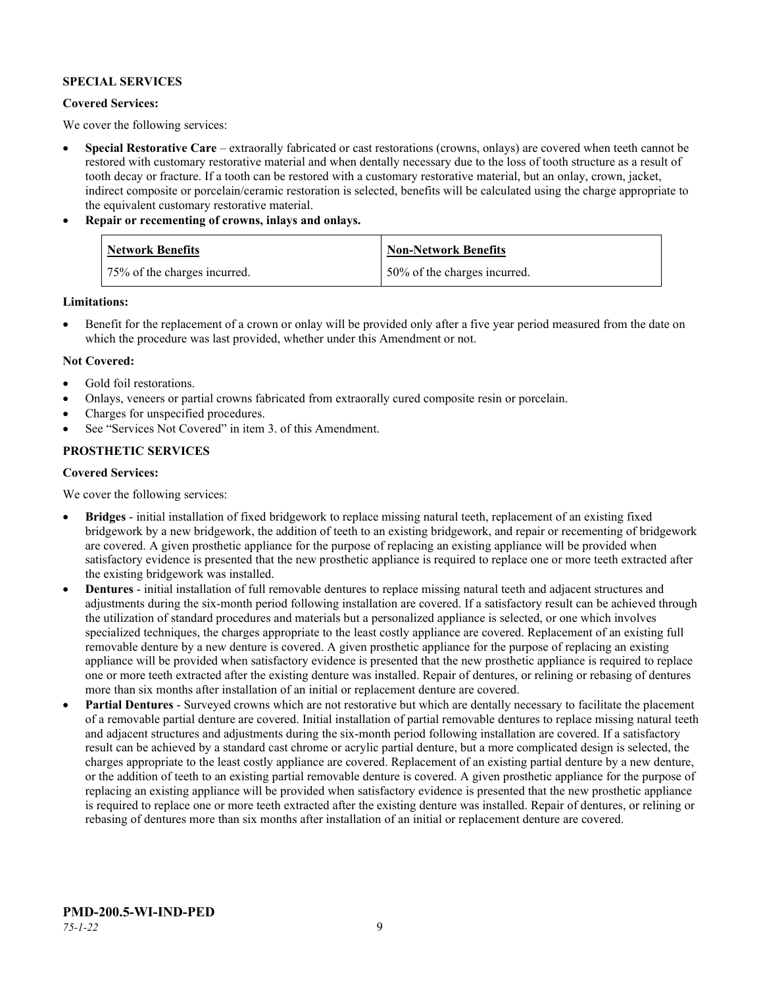# **SPECIAL SERVICES**

## **Covered Services:**

We cover the following services:

- **Special Restorative Care** extraorally fabricated or cast restorations (crowns, onlays) are covered when teeth cannot be restored with customary restorative material and when dentally necessary due to the loss of tooth structure as a result of tooth decay or fracture. If a tooth can be restored with a customary restorative material, but an onlay, crown, jacket, indirect composite or porcelain/ceramic restoration is selected, benefits will be calculated using the charge appropriate to the equivalent customary restorative material.
- **Repair or recementing of crowns, inlays and onlays.**

| <b>Network Benefits</b>      | Non-Network Benefits         |
|------------------------------|------------------------------|
| 75% of the charges incurred. | 50% of the charges incurred. |

**Limitations:**

• Benefit for the replacement of a crown or onlay will be provided only after a five year period measured from the date on which the procedure was last provided, whether under this Amendment or not.

# **Not Covered:**

- Gold foil restorations.
- Onlays, veneers or partial crowns fabricated from extraorally cured composite resin or porcelain.
- Charges for unspecified procedures.
- See "Services Not Covered" in item 3. of this Amendment.

# **PROSTHETIC SERVICES**

#### **Covered Services:**

We cover the following services:

- **Bridges** initial installation of fixed bridgework to replace missing natural teeth, replacement of an existing fixed bridgework by a new bridgework, the addition of teeth to an existing bridgework, and repair or recementing of bridgework are covered. A given prosthetic appliance for the purpose of replacing an existing appliance will be provided when satisfactory evidence is presented that the new prosthetic appliance is required to replace one or more teeth extracted after the existing bridgework was installed.
- **Dentures** initial installation of full removable dentures to replace missing natural teeth and adjacent structures and adjustments during the six-month period following installation are covered. If a satisfactory result can be achieved through the utilization of standard procedures and materials but a personalized appliance is selected, or one which involves specialized techniques, the charges appropriate to the least costly appliance are covered. Replacement of an existing full removable denture by a new denture is covered. A given prosthetic appliance for the purpose of replacing an existing appliance will be provided when satisfactory evidence is presented that the new prosthetic appliance is required to replace one or more teeth extracted after the existing denture was installed. Repair of dentures, or relining or rebasing of dentures more than six months after installation of an initial or replacement denture are covered.
- **Partial Dentures** Surveyed crowns which are not restorative but which are dentally necessary to facilitate the placement of a removable partial denture are covered. Initial installation of partial removable dentures to replace missing natural teeth and adjacent structures and adjustments during the six-month period following installation are covered. If a satisfactory result can be achieved by a standard cast chrome or acrylic partial denture, but a more complicated design is selected, the charges appropriate to the least costly appliance are covered. Replacement of an existing partial denture by a new denture, or the addition of teeth to an existing partial removable denture is covered. A given prosthetic appliance for the purpose of replacing an existing appliance will be provided when satisfactory evidence is presented that the new prosthetic appliance is required to replace one or more teeth extracted after the existing denture was installed. Repair of dentures, or relining or rebasing of dentures more than six months after installation of an initial or replacement denture are covered.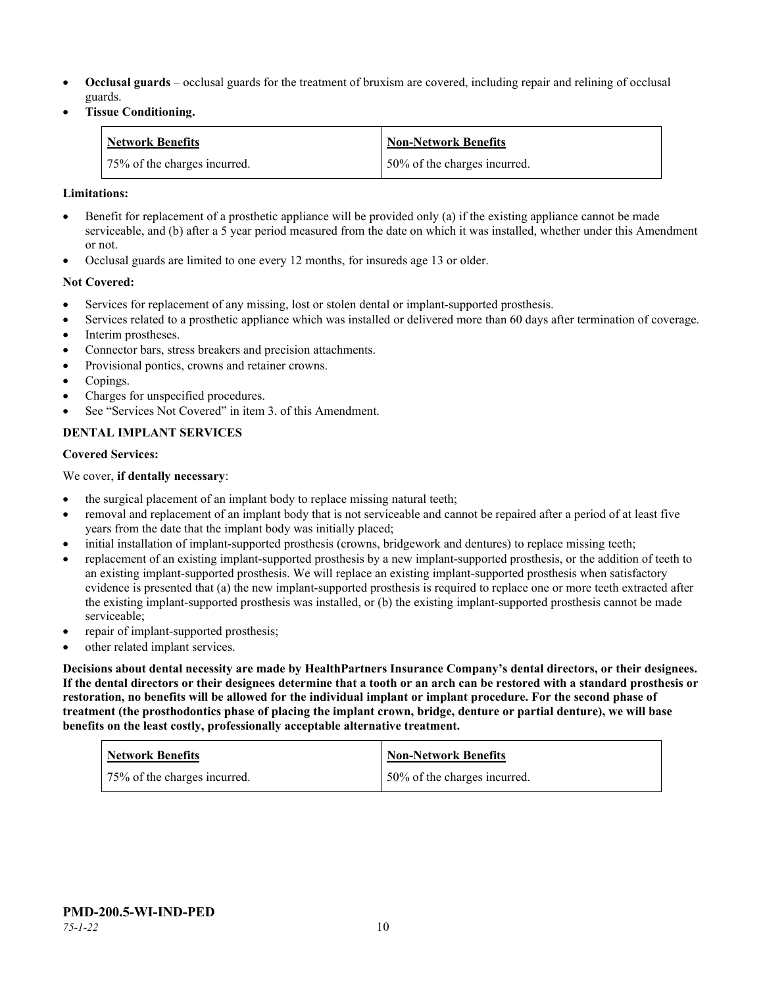- **Occlusal guards** occlusal guards for the treatment of bruxism are covered, including repair and relining of occlusal guards.
- **Tissue Conditioning.**

| <b>Network Benefits</b>      | Non-Network Benefits         |
|------------------------------|------------------------------|
| 75% of the charges incurred. | 50% of the charges incurred. |

## **Limitations:**

- Benefit for replacement of a prosthetic appliance will be provided only (a) if the existing appliance cannot be made serviceable, and (b) after a 5 year period measured from the date on which it was installed, whether under this Amendment or not.
- Occlusal guards are limited to one every 12 months, for insureds age 13 or older.

# **Not Covered:**

- Services for replacement of any missing, lost or stolen dental or implant-supported prosthesis.
- Services related to a prosthetic appliance which was installed or delivered more than 60 days after termination of coverage. Interim prostheses.
- Connector bars, stress breakers and precision attachments.
- Provisional pontics, crowns and retainer crowns.
- Copings.
- Charges for unspecified procedures.
- See "Services Not Covered" in item 3. of this Amendment.

# **DENTAL IMPLANT SERVICES**

#### **Covered Services:**

We cover, **if dentally necessary**:

- the surgical placement of an implant body to replace missing natural teeth;
- removal and replacement of an implant body that is not serviceable and cannot be repaired after a period of at least five years from the date that the implant body was initially placed;
- initial installation of implant-supported prosthesis (crowns, bridgework and dentures) to replace missing teeth;
- replacement of an existing implant-supported prosthesis by a new implant-supported prosthesis, or the addition of teeth to an existing implant-supported prosthesis. We will replace an existing implant-supported prosthesis when satisfactory evidence is presented that (a) the new implant-supported prosthesis is required to replace one or more teeth extracted after the existing implant-supported prosthesis was installed, or (b) the existing implant-supported prosthesis cannot be made serviceable;
- repair of implant-supported prosthesis;
- other related implant services.

**Decisions about dental necessity are made by HealthPartners Insurance Company's dental directors, or their designees. If the dental directors or their designees determine that a tooth or an arch can be restored with a standard prosthesis or restoration, no benefits will be allowed for the individual implant or implant procedure. For the second phase of treatment (the prosthodontics phase of placing the implant crown, bridge, denture or partial denture), we will base benefits on the least costly, professionally acceptable alternative treatment.**

| <b>Network Benefits</b>      | <b>Non-Network Benefits</b>  |
|------------------------------|------------------------------|
| 75% of the charges incurred. | 50% of the charges incurred. |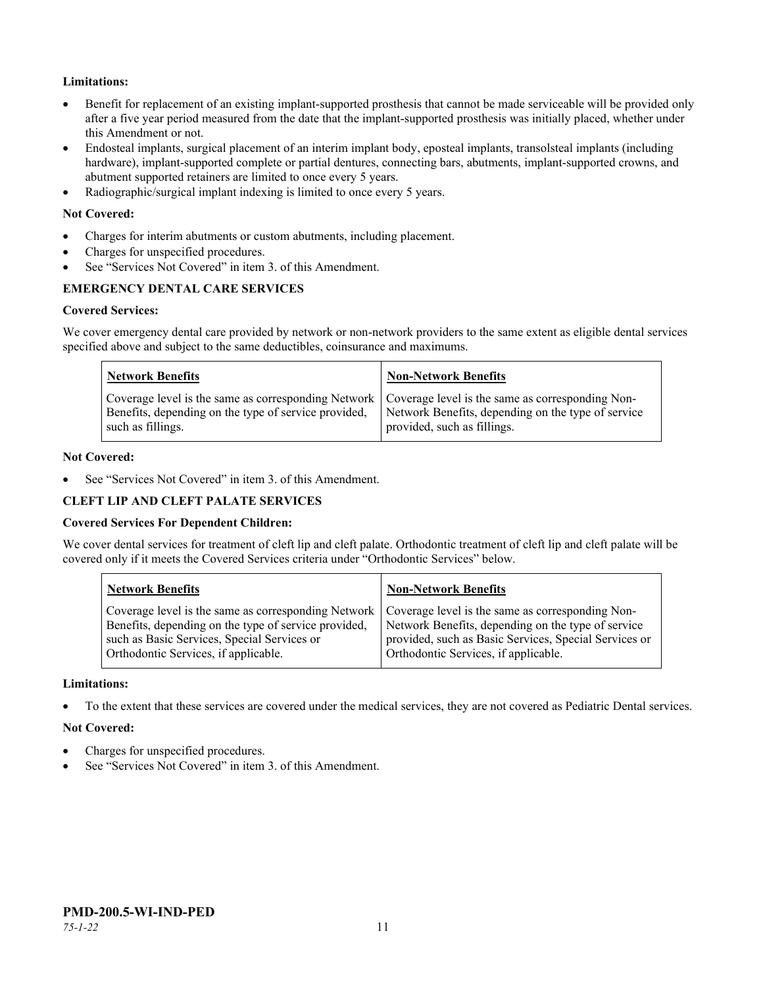# **Limitations:**

- Benefit for replacement of an existing implant-supported prosthesis that cannot be made serviceable will be provided only after a five year period measured from the date that the implant-supported prosthesis was initially placed, whether under this Amendment or not.
- Endosteal implants, surgical placement of an interim implant body, eposteal implants, transolsteal implants (including hardware), implant-supported complete or partial dentures, connecting bars, abutments, implant-supported crowns, and abutment supported retainers are limited to once every 5 years.
- Radiographic/surgical implant indexing is limited to once every 5 years.

## **Not Covered:**

- Charges for interim abutments or custom abutments, including placement.
- Charges for unspecified procedures.
- See "Services Not Covered" in item 3, of this Amendment.

# **EMERGENCY DENTAL CARE SERVICES**

#### **Covered Services:**

We cover emergency dental care provided by network or non-network providers to the same extent as eligible dental services specified above and subject to the same deductibles, coinsurance and maximums.

| <b>Network Benefits</b>                                                                                                                                                             | <b>Non-Network Benefits</b>                                                       |
|-------------------------------------------------------------------------------------------------------------------------------------------------------------------------------------|-----------------------------------------------------------------------------------|
| Coverage level is the same as corresponding Network   Coverage level is the same as corresponding Non-<br>Benefits, depending on the type of service provided,<br>such as fillings. | Network Benefits, depending on the type of service<br>provided, such as fillings. |

#### **Not Covered:**

See "Services Not Covered" in item 3. of this Amendment.

#### **CLEFT LIP AND CLEFT PALATE SERVICES**

#### **Covered Services For Dependent Children:**

We cover dental services for treatment of cleft lip and cleft palate. Orthodontic treatment of cleft lip and cleft palate will be covered only if it meets the Covered Services criteria under "Orthodontic Services" below.

| <b>Network Benefits</b>                              | <b>Non-Network Benefits</b>                           |
|------------------------------------------------------|-------------------------------------------------------|
| Coverage level is the same as corresponding Network  | Coverage level is the same as corresponding Non-      |
| Benefits, depending on the type of service provided, | Network Benefits, depending on the type of service    |
| such as Basic Services, Special Services or          | provided, such as Basic Services, Special Services or |
| Orthodontic Services, if applicable.                 | Orthodontic Services, if applicable.                  |

#### **Limitations:**

• To the extent that these services are covered under the medical services, they are not covered as Pediatric Dental services.

#### **Not Covered:**

- Charges for unspecified procedures.
- See "Services Not Covered" in item 3. of this Amendment.